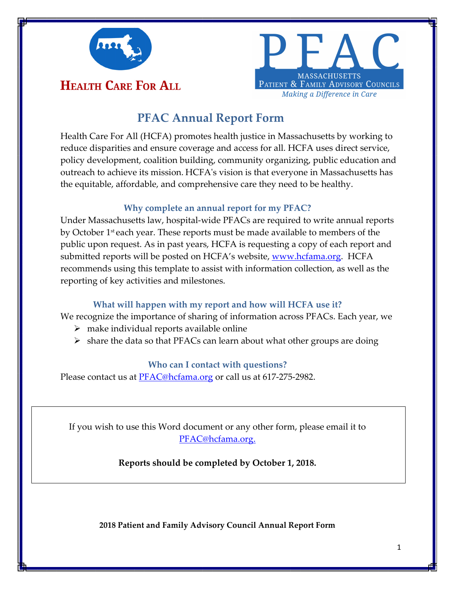



# **PFAC Annual Report Form**

Health Care For All (HCFA) promotes health justice in Massachusetts by working to reduce disparities and ensure coverage and access for all. HCFA uses direct service, policy development, coalition building, community organizing, public education and outreach to achieve its mission. HCFAʹs vision is that everyone in Massachusetts has the equitable, affordable, and comprehensive care they need to be healthy.

### **Why complete an annual report for my PFAC?**

Under Massachusetts law, hospital‐wide PFACs are required to write annual reports by October 1<sup>st</sup> each year. These reports must be made available to members of the public upon request. As in past years, HCFA is requesting a copy of each report and submitted reports will be posted on HCFA's website, <u>www.hcfama.org</u>. HCFA recommends using this template to assist with information collection, as well as the reporting of key activities and milestones.

## **What will happen with my report and how will HCFA use it?**

We recognize the importance of sharing of information across PFACs. Each year, we

- $\triangleright$  make individual reports available online
- $\triangleright$  share the data so that PFACs can learn about what other groups are doing

### **Who can I contact with questions?**

Please contact us at **PFAC**@hcfama.org or call us at 617-275-2982.

If you wish to use this Word document or any other form, please email it to PFAC@hcfama.org.

## **Reports should be completed by October 1, 2018.**

**2018 Patient and Family Advisory Council Annual Report Form**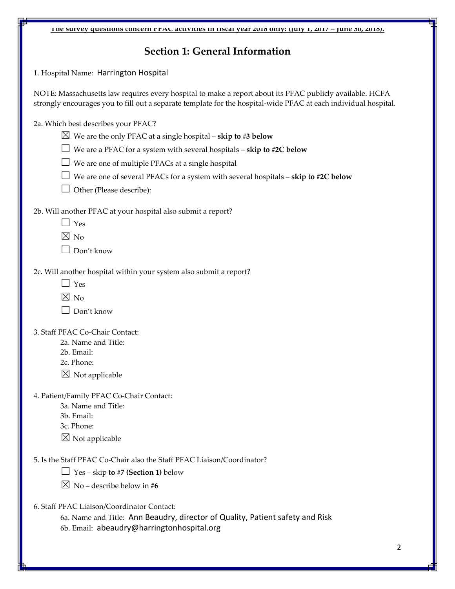| The survey questions concern PFAU activities in fiscal year 2018 only: (July 1, 2017 – June 30, 2018). |  |
|--------------------------------------------------------------------------------------------------------|--|
|                                                                                                        |  |

## **Section 1: General Information**

1. Hospital Name: Harrington Hospital

NOTE: Massachusetts law requires every hospital to make a report about its PFAC publicly available. HCFA strongly encourages you to fill out a separate template for the hospital‐wide PFAC at each individual hospital.

2a. Which best describes your PFAC?

 $\boxtimes$  We are the only PFAC at a single hospital – **skip to #3 below** 

☐ We are <sup>a</sup> PFAC for <sup>a</sup> system with several hospitals – **skip to #2C below**

 $\Box$  We are one of multiple PFACs at a single hospital

☐ We are one of several PFACs for <sup>a</sup> system with several hospitals – **skip to #2C below**

 $\Box$  Other (Please describe):

2b. Will another PFAC at your hospital also submit a report?

 $\Box$  Yes

 $\boxtimes$  No

 $\Box$  Don't know

2c. Will another hospital within your system also submit a report?

- $\Box$  Yes
- $\times$  No

 $\Box$  Don't know

3. Staff PFAC Co‐Chair Contact:

- 2a. Name and Title:
- 2b. Email:
- 2c. Phone:
- $\boxtimes$  Not applicable

4. Patient/Family PFAC Co‐Chair Contact:

- 3a. Name and Title:
- 3b. Email:
- 3c. Phone:
- $\boxtimes$  Not applicable

5. Is the Staff PFAC Co‐Chair also the Staff PFAC Liaison/Coordinator?

☐ Yes – skip **to #7 (Section 1)** below

 $\boxtimes$  No – describe below in #6

6. Staff PFAC Liaison/Coordinator Contact:

6a. Name and Title: Ann Beaudry, director of Quality, Patient safety and Risk 6b. Email: abeaudry@harringtonhospital.org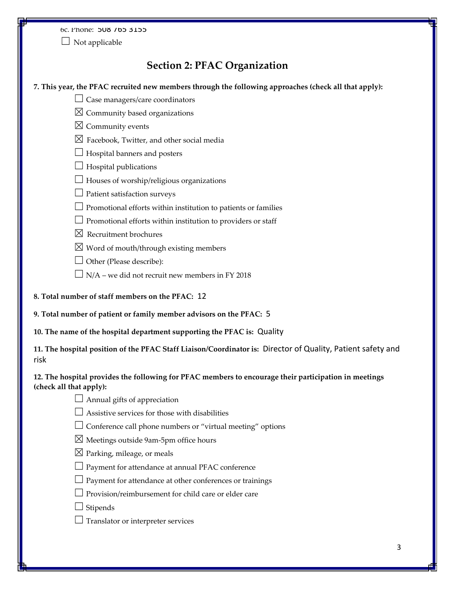6c. Phone: 508 765 3155

 $\Box$  Not applicable

## **Section 2: PFAC Organization**

#### **7. This year, the PFAC recruited new members through the following approaches (check all that apply):**

- $\Box$  Case managers/care coordinators
- $\boxtimes$  Community based organizations
- $\boxtimes$  Community events
- $\boxtimes$  Facebook, Twitter, and other social media
- $\Box$  Hospital banners and posters
- $\Box$  Hospital publications
- $\Box$  Houses of worship/religious organizations
- $\Box$  Patient satisfaction surveys
- ☐ Promotional efforts within institution to patients or families
- $\Box$  Promotional efforts within institution to providers or staff
- $\boxtimes$  Recruitment brochures
- $\boxtimes$  Word of mouth/through existing members
- $\Box$  Other (Please describe):
- $\Box$  N/A we did not recruit new members in FY 2018
- **8. Total number of staff members on the PFAC:** 12
- **9. Total number of patient or family member advisors on the PFAC:** 5
- **10. The name of the hospital department supporting the PFAC is:** Quality

**11. The hospital position of the PFAC Staff Liaison/Coordinator is:** Director of Quality, Patient safety and risk

#### **12. The hospital provides the following for PFAC members to encourage their participation in meetings (check all that apply):**

- $\Box$  Annual gifts of appreciation
- $\Box$  Assistive services for those with disabilities
- $\Box$  Conference call phone numbers or "virtual meeting" options
- ☒ Meetings outside 9am‐5pm office hours
- $\boxtimes$  Parking, mileage, or meals
- $\Box$  Payment for attendance at annual PFAC conference
- $\Box$  Payment for attendance at other conferences or trainings
- $\Box$  Provision/reimbursement for child care or elder care
- $\Box$  Stipends
- $\Box$  Translator or interpreter services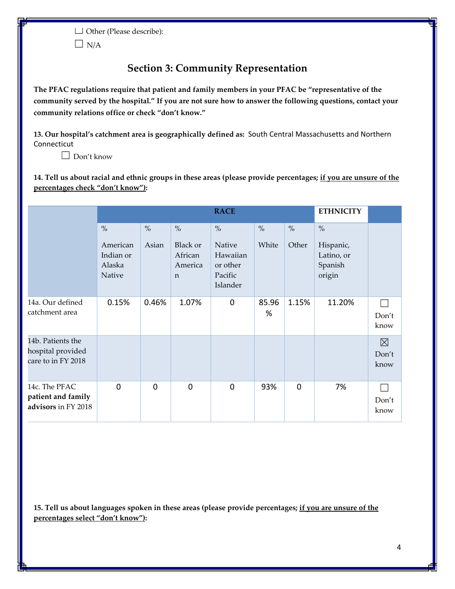☐ Other (Please describe):  $\Box$  N/A

## **Section 3: Community Representation**

**The PFAC regulations require that patient and family members in your PFAC be "representative of the** community served by the hospital." If you are not sure how to answer the following questions, contact your **community relations office or check "don't know."**

**13. Our hospital's catchment area is geographically defined as:** South Central Massachusetts and Northern Connecticut

 $\Box$  Don't know

14. Tell us about racial and ethnic groups in these areas (please provide percentages; if you are unsure of the **percentages check "don't know"):**

|                                                              | <b>RACE</b>                                       |                        |                                                                |                                                                        | <b>ETHNICITY</b> |               |                                                      |                    |
|--------------------------------------------------------------|---------------------------------------------------|------------------------|----------------------------------------------------------------|------------------------------------------------------------------------|------------------|---------------|------------------------------------------------------|--------------------|
|                                                              | $\%$<br>American<br>Indian or<br>Alaska<br>Native | $\frac{0}{0}$<br>Asian | $\frac{0}{0}$<br>Black or<br>African<br>America<br>$\mathbf n$ | $\frac{0}{0}$<br>Native<br>Hawaiian<br>or other<br>Pacific<br>Islander | $\%$<br>White    | $\%$<br>Other | $\%$<br>Hispanic,<br>Latino, or<br>Spanish<br>origin |                    |
| 14a. Our defined<br>catchment area                           | 0.15%                                             | 0.46%                  | 1.07%                                                          | 0                                                                      | 85.96<br>%       | 1.15%         | 11.20%                                               | Don't<br>know      |
| 14b. Patients the<br>hospital provided<br>care to in FY 2018 |                                                   |                        |                                                                |                                                                        |                  |               |                                                      | ⊠<br>Don't<br>know |
| 14c. The PFAC<br>patient and family<br>advisors in FY 2018   | $\mathbf 0$                                       | $\Omega$               | $\Omega$                                                       | $\Omega$                                                               | 93%              | 0             | 7%                                                   | Don't<br>know      |

15. Tell us about languages spoken in these areas (please provide percentages; if you are unsure of the **percentages select "don't know"):**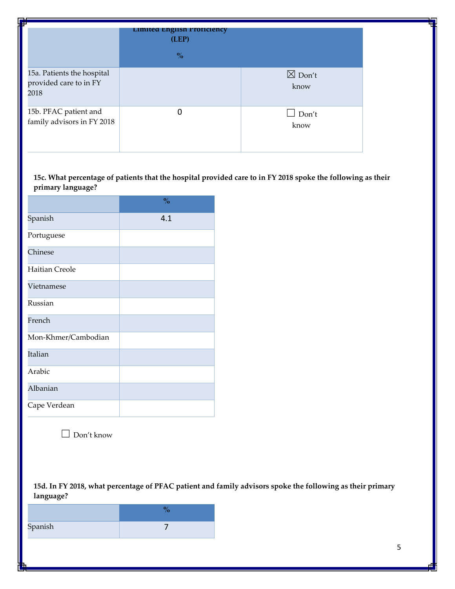| <b>FR</b>                                                    | Limited English Proficiency<br>(LEP) |                           |
|--------------------------------------------------------------|--------------------------------------|---------------------------|
|                                                              | $\frac{0}{0}$                        |                           |
| 15a. Patients the hospital<br>provided care to in FY<br>2018 |                                      | $\boxtimes$ Don't<br>know |
| 15b. PFAC patient and<br>family advisors in FY 2018          | 0                                    | $\Box$ Don't<br>know      |

15c. What percentage of patients that the hospital provided care to in FY 2018 spoke the following as their **primary language?**

|                     | $\frac{0}{0}$ |
|---------------------|---------------|
| Spanish             | 4.1           |
| Portuguese          |               |
| Chinese             |               |
| Haitian Creole      |               |
| Vietnamese          |               |
| Russian             |               |
| French              |               |
| Mon-Khmer/Cambodian |               |
| Italian             |               |
| Arabic              |               |
| Albanian            |               |
| Cape Verdean        |               |

☐ Don't know

15d. In FY 2018, what percentage of PFAC patient and family advisors spoke the following as their primary **language?**

| Spanish |  |
|---------|--|
|         |  |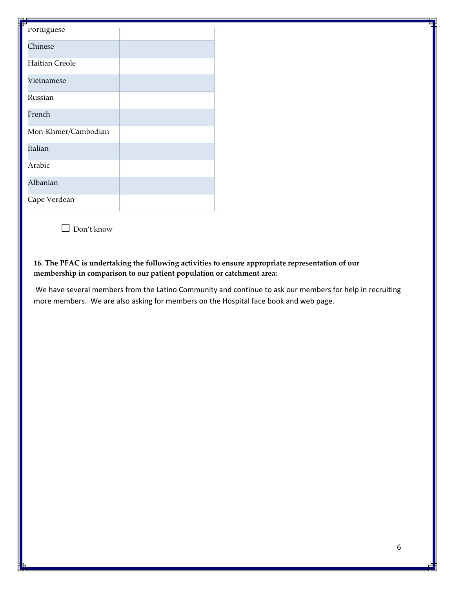| т<br>Portuguese       |  |
|-----------------------|--|
| Chinese               |  |
| <b>Haitian Creole</b> |  |
| Vietnamese            |  |
| Russian               |  |
| French                |  |
| Mon-Khmer/Cambodian   |  |
| Italian               |  |
| Arabic                |  |
| Albanian              |  |
| Cape Verdean          |  |

☐ Don't know

#### **16. The PFAC is undertaking the following activities to ensure appropriate representation of our membership in comparison to our patient population or catchment area:**

 We have several members from the Latino Community and continue to ask our members for help in recruiting more members. We are also asking for members on the Hospital face book and web page.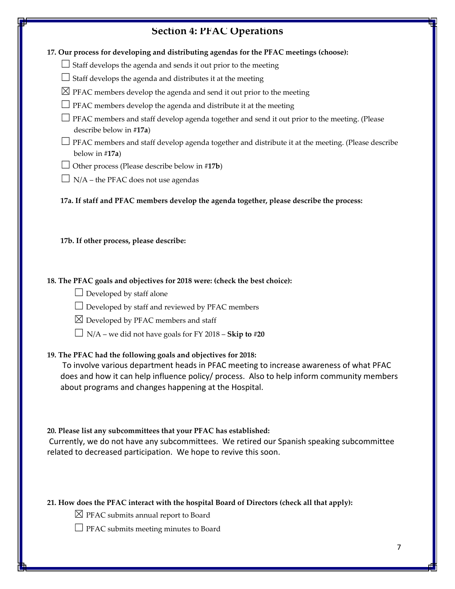## **Section 4: PFAC Operations**

**17. Our process for developing and distributing agendas for the PFAC meetings (choose):**

 $\Box$  Staff develops the agenda and sends it out prior to the meeting

□ Staff develops the agenda and distributes it at the meeting

- $\boxtimes$  PFAC members develop the agenda and send it out prior to the meeting
- $\Box$  PFAC members develop the agenda and distribute it at the meeting
- $\Box$  PFAC members and staff develop agenda together and send it out prior to the meeting. (Please describe below in **#17a**)
- $\Box$  PFAC members and staff develop agenda together and distribute it at the meeting. (Please describe below in #**17a**)
- ☐ Other process (Please describe below in #**17b**)
- $\Box$  N/A the PFAC does not use agendas

**17a. If staff and PFAC members develop the agenda together, please describe the process:** 

**17b. If other process, please describe:**

#### **18. The PFAC goals and objectives for 2018 were: (check the best choice):**

- $\Box$  Developed by staff alone
- $\Box$  Developed by staff and reviewed by PFAC members
- $\boxtimes$  Developed by PFAC members and staff
- $\Box$  N/A we did not have goals for FY 2018 **Skip to #20**

#### **19. The PFAC had the following goals and objectives for 2018:**

 To involve various department heads in PFAC meeting to increase awareness of what PFAC does and how it can help influence policy/ process. Also to help inform community members about programs and changes happening at the Hospital.

#### **20. Please list any subcommittees that your PFAC has established:**

 Currently, we do not have any subcommittees. We retired our Spanish speaking subcommittee related to decreased participation. We hope to revive this soon.

#### **21. How does the PFAC interact with the hospital Board of Directors (check all that apply):**

- $\boxtimes$  PFAC submits annual report to Board
- □ PFAC submits meeting minutes to Board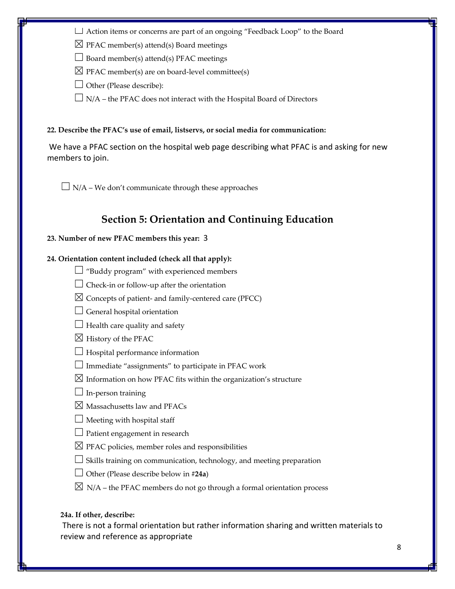☐ Action items or concerns are part of an ongoing "Feedback Loop" to the Board

 $\boxtimes$  PFAC member(s) attend(s) Board meetings

 $\Box$  Board member(s) attend(s) PFAC meetings

 $\boxtimes$  PFAC member(s) are on board-level committee(s)

 $\Box$  Other (Please describe):

 $\Box$  N/A – the PFAC does not interact with the Hospital Board of Directors

#### **22. Describe the PFAC's use of email, listservs, or social media for communication:**

 We have a PFAC section on the hospital web page describing what PFAC is and asking for new members to join.

 $\Box$  N/A – We don't communicate through these approaches

## **Section 5: Orientation and Continuing Education**

#### **23. Number of new PFAC members this year:** 3

#### **24. Orientation content included (check all that apply):**

- $\Box$  "Buddy program" with experienced members
- $\Box$  Check-in or follow-up after the orientation
- ☒ Concepts of patient‐ and family‐centered care (PFCC)
- $\Box$  General hospital orientation
- $\Box$  Health care quality and safety
- $\boxtimes$  History of the PFAC
- $\Box$  Hospital performance information
- $\Box$  Immediate "assignments" to participate in PFAC work
- $\boxtimes$  Information on how PFAC fits within the organization's structure
- $\Box$  In-person training
- $\boxtimes$  Massachusetts law and PFACs
- $\Box$  Meeting with hospital staff
- $\Box$  Patient engagement in research
- $\boxtimes$  PFAC policies, member roles and responsibilities
- $\Box$  Skills training on communication, technology, and meeting preparation
- ☐ Other (Please describe below in #**24a**)
- $\boxtimes$  N/A the PFAC members do not go through a formal orientation process

#### **24a. If other, describe:**

 There is not a formal orientation but rather information sharing and written materials to review and reference as appropriate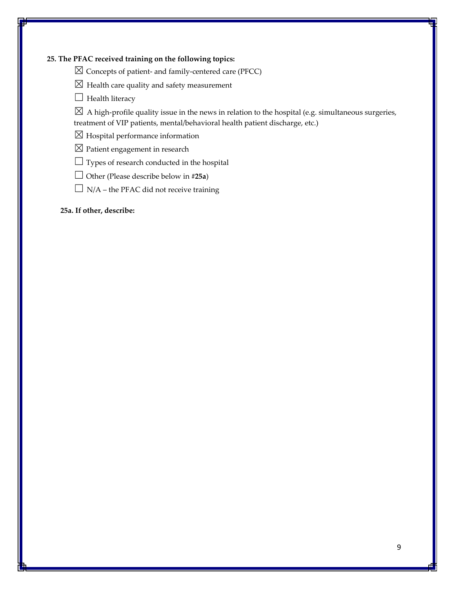#### **25. The PFAC received training on the following topics:**

☒ Concepts of patient‐ and family‐centered care (PFCC)

- $\boxtimes$  Health care quality and safety measurement
- $\Box$  Health literacy

 $\boxtimes$  A high-profile quality issue in the news in relation to the hospital (e.g. simultaneous surgeries, treatment of VIP patients, mental/behavioral health patient discharge, etc.)

 $\boxtimes$  Hospital performance information

☒ Patient engagement in research

 $\Box$  Types of research conducted in the hospital

☐ Other (Please describe below in **#25a**)

 $\Box$  N/A – the PFAC did not receive training

**25a. If other, describe:**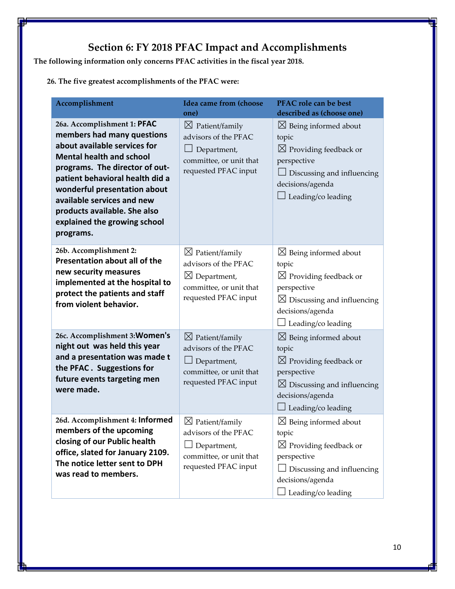# **Section 6: FY 2018 PFAC Impact and Accomplishments**

**The following information only concerns PFAC activities in the fiscal year 2018.**

**26. The five greatest accomplishments of the PFAC were:**

| Accomplishment                                                                                                                                                                                                                                                                                                                               | <b>Idea came from (choose</b><br>one)                                                                                            | PFAC role can be best<br>described as (choose one)                                                                                                                                       |  |  |
|----------------------------------------------------------------------------------------------------------------------------------------------------------------------------------------------------------------------------------------------------------------------------------------------------------------------------------------------|----------------------------------------------------------------------------------------------------------------------------------|------------------------------------------------------------------------------------------------------------------------------------------------------------------------------------------|--|--|
| 26a. Accomplishment 1: PFAC<br>members had many questions<br>about available services for<br><b>Mental health and school</b><br>programs. The director of out-<br>patient behavioral health did a<br>wonderful presentation about<br>available services and new<br>products available. She also<br>explained the growing school<br>programs. | $\boxtimes$ Patient/family<br>advisors of the PFAC<br>Department,<br>committee, or unit that<br>requested PFAC input             | $\boxtimes$ Being informed about<br>topic<br>$\boxtimes$ Providing feedback or<br>perspective<br>$\perp$ Discussing and influencing<br>decisions/agenda<br>$\perp$ Leading/co leading    |  |  |
| 26b. Accomplishment 2:<br>Presentation about all of the<br>new security measures<br>implemented at the hospital to<br>protect the patients and staff<br>from violent behavior.                                                                                                                                                               | $\boxtimes$ Patient/family<br>advisors of the PFAC<br>$\boxtimes$ Department,<br>committee, or unit that<br>requested PFAC input | $\boxtimes$ Being informed about<br>topic<br>$\boxtimes$ Providing feedback or<br>perspective<br>$\boxtimes$ Discussing and influencing<br>decisions/agenda<br>$\Box$ Leading/co leading |  |  |
| 26c. Accomplishment 3: Women's<br>night out was held this year<br>and a presentation was made t<br>the PFAC. Suggestions for<br>future events targeting men<br>were made.                                                                                                                                                                    | $\boxtimes$ Patient/family<br>advisors of the PFAC<br>$\Box$ Department,<br>committee, or unit that<br>requested PFAC input      | $\boxtimes$ Being informed about<br>topic<br>$\boxtimes$ Providing feedback or<br>perspective<br>$\boxtimes$ Discussing and influencing<br>decisions/agenda<br>Leading/co leading        |  |  |
| 26d. Accomplishment 4: Informed<br>members of the upcoming<br>closing of our Public health<br>office, slated for January 2109.<br>The notice letter sent to DPH<br>was read to members.                                                                                                                                                      | $\boxtimes$ Patient/family<br>advisors of the PFAC<br>Department,<br>committee, or unit that<br>requested PFAC input             | $\boxtimes$ Being informed about<br>topic<br>$\boxtimes$ Providing feedback or<br>perspective<br>Discussing and influencing<br>decisions/agenda<br>Leading/co leading                    |  |  |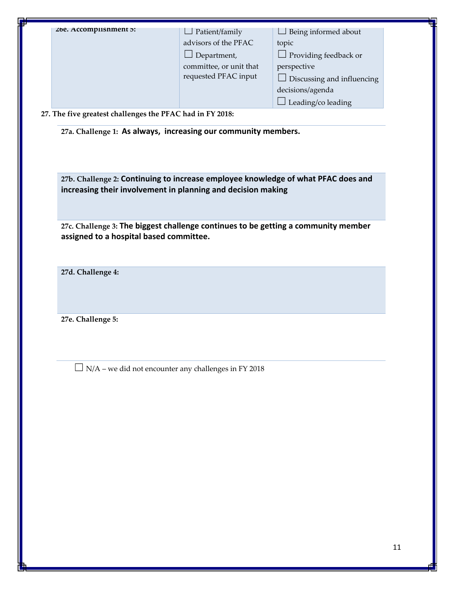**27a. Challenge 1: As always, increasing our community members.** 

**27b. Challenge 2: Continuing to increase employee knowledge of what PFAC does and increasing their involvement in planning and decision making** 

**27c. Challenge 3: The biggest challenge continues to be getting a community member assigned to a hospital based committee.** 

**27d. Challenge 4:** 

**27e. Challenge 5:** 

 $\Box$  N/A – we did not encounter any challenges in FY 2018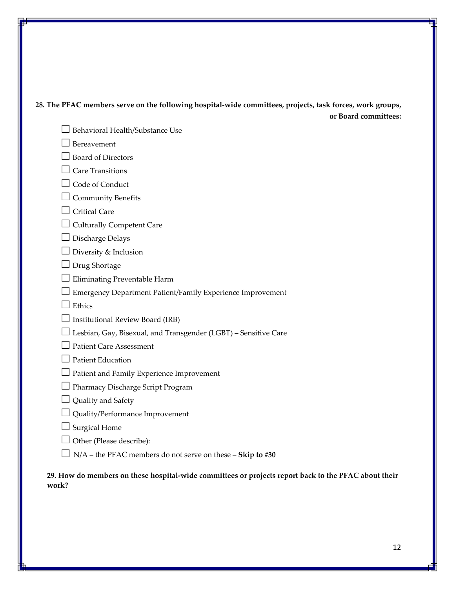| 28. The PFAC members serve on the following hospital-wide committees, projects, task forces, work groups, |                      |
|-----------------------------------------------------------------------------------------------------------|----------------------|
|                                                                                                           | or Board committees: |

- □ Behavioral Health/Substance Use  $\Box$  Bereavement ☐ Board of Directors  $\Box$  Care Transitions □ Code of Conduct  $\Box$  Community Benefits  $\Box$  Critical Care  $\Box$  Culturally Competent Care ☐ Discharge Delays  $\Box$  Diversity & Inclusion ☐ Drug Shortage  $\Box$  Eliminating Preventable Harm ☐ Emergency Department Patient/Family Experience Improvement  $\Box$  Ethics  $\Box$  Institutional Review Board (IRB)  $\Box$  Lesbian, Gay, Bisexual, and Transgender (LGBT) – Sensitive Care □ Patient Care Assessment  $\Box$  Patient Education ☐ Patient and Family Experience Improvement ☐ Pharmacy Discharge Script Program  $\Box$  Quality and Safety ☐ Quality/Performance Improvement  $\Box$  Surgical Home
	- $\Box$  Other (Please describe):
	- ☐ N/A **–** the PFAC members do not serve on these **Skip to #30**

29. How do members on these hospital-wide committees or projects report back to the PFAC about their **work?**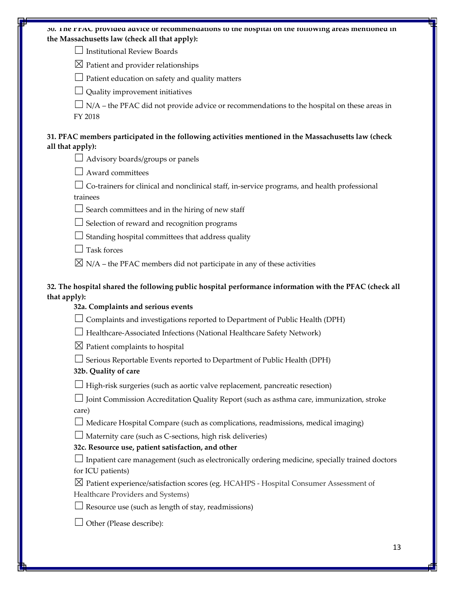| 30. The FFAU provided advice or recommendations to the nospital on the following areas mentioned in<br>the Massachusetts law (check all that apply):         |  |
|--------------------------------------------------------------------------------------------------------------------------------------------------------------|--|
| <b>Institutional Review Boards</b>                                                                                                                           |  |
| $\boxtimes$ Patient and provider relationships                                                                                                               |  |
| Patient education on safety and quality matters                                                                                                              |  |
| Quality improvement initiatives                                                                                                                              |  |
| N/A - the PFAC did not provide advice or recommendations to the hospital on these areas in<br>FY 2018                                                        |  |
| 31. PFAC members participated in the following activities mentioned in the Massachusetts law (check<br>all that apply):                                      |  |
| Advisory boards/groups or panels                                                                                                                             |  |
| Award committees                                                                                                                                             |  |
| Co-trainers for clinical and nonclinical staff, in-service programs, and health professional<br>trainees                                                     |  |
| Search committees and in the hiring of new staff                                                                                                             |  |
| Selection of reward and recognition programs                                                                                                                 |  |
| Standing hospital committees that address quality                                                                                                            |  |
| <b>Task forces</b>                                                                                                                                           |  |
| $\boxtimes$ N/A – the PFAC members did not participate in any of these activities                                                                            |  |
| 32. The hospital shared the following public hospital performance information with the PFAC (check all<br>that apply):<br>32a. Complaints and serious events |  |
| Complaints and investigations reported to Department of Public Health (DPH)                                                                                  |  |
| Healthcare-Associated Infections (National Healthcare Safety Network)                                                                                        |  |
| $\boxtimes$ Patient complaints to hospital                                                                                                                   |  |
| Serious Reportable Events reported to Department of Public Health (DPH)<br>32b. Quality of care                                                              |  |
| High-risk surgeries (such as aortic valve replacement, pancreatic resection)                                                                                 |  |
| Joint Commission Accreditation Quality Report (such as asthma care, immunization, stroke<br>care)                                                            |  |
| Medicare Hospital Compare (such as complications, readmissions, medical imaging)                                                                             |  |
| Maternity care (such as C-sections, high risk deliveries)<br>32c. Resource use, patient satisfaction, and other                                              |  |
| $\Box$ Inpatient care management (such as electronically ordering medicine, specially trained doctors<br>for ICU patients)                                   |  |
| $\boxtimes$ Patient experience/satisfaction scores (eg. HCAHPS - Hospital Consumer Assessment of<br>Healthcare Providers and Systems)                        |  |
| Resource use (such as length of stay, readmissions)                                                                                                          |  |
| Other (Please describe):                                                                                                                                     |  |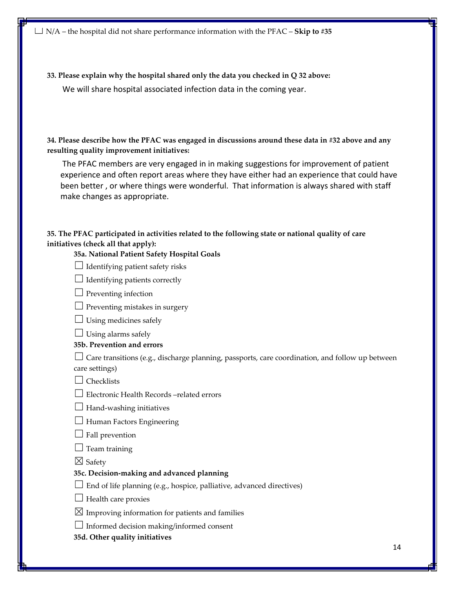☐ N/A – the hospital did not share performance information with the PFAC – **Skip to #35**

**33. Please explain why the hospital shared only the data you checked in Q 32 above:** We will share hospital associated infection data in the coming year.

**34. Please describe how the PFAC was engaged in discussions around these data in #32 above and any resulting quality improvement initiatives:**

 The PFAC members are very engaged in in making suggestions for improvement of patient experience and often report areas where they have either had an experience that could have been better , or where things were wonderful. That information is always shared with staff make changes as appropriate.

#### **35. The PFAC participated in activities related to the following state or national quality of care initiatives (check all that apply):**

#### **35a. National Patient Safety Hospital Goals**

- $\Box$  Identifying patient safety risks
- $\Box$  Identifying patients correctly
- $\Box$  Preventing infection
- $\Box$  Preventing mistakes in surgery
- $\Box$  Using medicines safely
- $\Box$  Using alarms safely

#### **35b. Prevention and errors**

 $\Box$  Care transitions (e.g., discharge planning, passports, care coordination, and follow up between care settings)

- $\Box$  Checklists
- ☐ Electronic Health Records –related errors
- $\Box$  Hand-washing initiatives
- $\Box$  Human Factors Engineering
- $\Box$  Fall prevention
- $\Box$  Team training
- $\boxtimes$  Safety

#### **35c. Decision‐making and advanced planning**

- $\Box$  End of life planning (e.g., hospice, palliative, advanced directives)
- $\Box$  Health care proxies

 $\boxtimes$  Improving information for patients and families

 $\Box$  Informed decision making/informed consent

**35d. Other quality initiatives**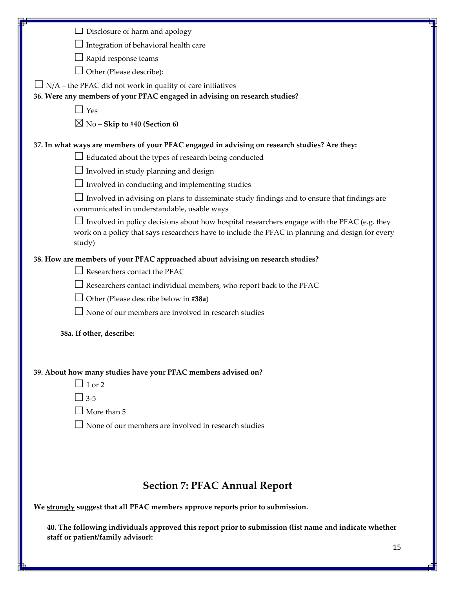| J Disclosure of harm and apology                                                                                                                                                                          |  |
|-----------------------------------------------------------------------------------------------------------------------------------------------------------------------------------------------------------|--|
| Integration of behavioral health care                                                                                                                                                                     |  |
| Rapid response teams                                                                                                                                                                                      |  |
| Other (Please describe):                                                                                                                                                                                  |  |
| N/A - the PFAC did not work in quality of care initiatives                                                                                                                                                |  |
| 36. Were any members of your PFAC engaged in advising on research studies?                                                                                                                                |  |
| $\Box$ Yes                                                                                                                                                                                                |  |
| $\boxtimes$ No – Skip to #40 (Section 6)                                                                                                                                                                  |  |
| 37. In what ways are members of your PFAC engaged in advising on research studies? Are they:                                                                                                              |  |
| $\Box$ Educated about the types of research being conducted                                                                                                                                               |  |
| $\perp$ Involved in study planning and design                                                                                                                                                             |  |
| Involved in conducting and implementing studies                                                                                                                                                           |  |
| Involved in advising on plans to disseminate study findings and to ensure that findings are<br>communicated in understandable, usable ways                                                                |  |
| Involved in policy decisions about how hospital researchers engage with the PFAC (e.g. they<br>work on a policy that says researchers have to include the PFAC in planning and design for every<br>study) |  |
| 38. How are members of your PFAC approached about advising on research studies?                                                                                                                           |  |
| Researchers contact the PFAC                                                                                                                                                                              |  |
| Researchers contact individual members, who report back to the PFAC                                                                                                                                       |  |
| Other (Please describe below in #38a)                                                                                                                                                                     |  |
| None of our members are involved in research studies                                                                                                                                                      |  |
| 38a. If other, describe:                                                                                                                                                                                  |  |
|                                                                                                                                                                                                           |  |
| 39. About how many studies have your PFAC members advised on?                                                                                                                                             |  |
| $\Box$ 1 or 2                                                                                                                                                                                             |  |
| $\Box$ 3-5                                                                                                                                                                                                |  |
| $\Box$ More than 5                                                                                                                                                                                        |  |
| $\Box$ None of our members are involved in research studies                                                                                                                                               |  |
|                                                                                                                                                                                                           |  |
|                                                                                                                                                                                                           |  |
|                                                                                                                                                                                                           |  |
| <b>Section 7: PFAC Annual Report</b>                                                                                                                                                                      |  |
| We strongly suggest that all PFAC members approve reports prior to submission.                                                                                                                            |  |
| 40. The following individuals approved this report prior to submission (list name and indicate whether<br>staff or patient/family advisor):                                                               |  |
| 1 F                                                                                                                                                                                                       |  |